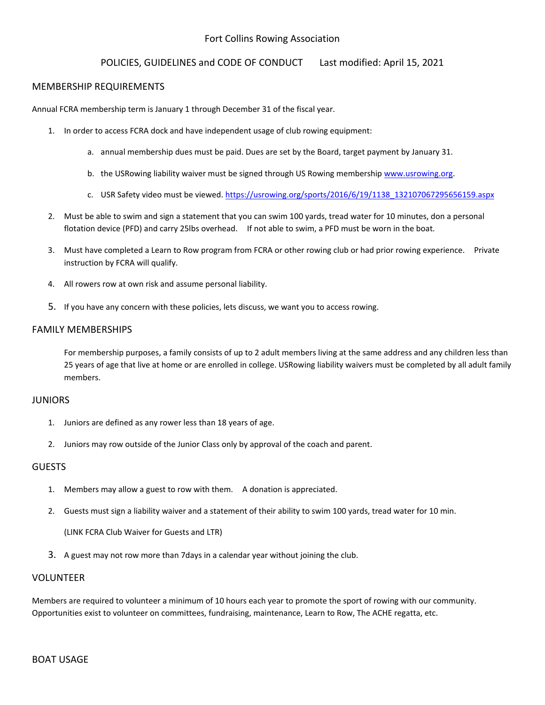# Fort Collins Rowing Association

### POLICIES, GUIDELINES and CODE OF CONDUCT Last modified: April 15, 2021

#### MEMBERSHIP REQUIREMENTS

Annual FCRA membership term is January 1 through December 31 of the fiscal year.

- 1. In order to access FCRA dock and have independent usage of club rowing equipment:
	- a. annual membership dues must be paid. Dues are set by the Board, target payment by January 31.
	- b. the USRowing liability waiver must be signed through US Rowing membershi[p www.usrowing.org.](http://www.usrowing.org/)
	- c. USR Safety video must be viewed. [https://usrowing.org/sports/2016/6/19/1138\\_132107067295656159.aspx](https://usrowing.org/sports/2016/6/19/1138_132107067295656159.aspx)
- 2. Must be able to swim and sign a statement that you can swim 100 yards, tread water for 10 minutes, don a personal flotation device (PFD) and carry 25lbs overhead. If not able to swim, a PFD must be worn in the boat.
- 3. Must have completed a Learn to Row program from FCRA or other rowing club or had prior rowing experience. Private instruction by FCRA will qualify.
- 4. All rowers row at own risk and assume personal liability.
- 5. If you have any concern with these policies, lets discuss, we want you to access rowing.

### FAMILY MEMBERSHIPS

For membership purposes, a family consists of up to 2 adult members living at the same address and any children less than 25 years of age that live at home or are enrolled in college. USRowing liability waivers must be completed by all adult family members.

#### JUNIORS

- 1. Juniors are defined as any rower less than 18 years of age.
- 2. Juniors may row outside of the Junior Class only by approval of the coach and parent.

### **GUESTS**

- 1. Members may allow a guest to row with them. A donation is appreciated.
- 2. Guests must sign a liability waiver and a statement of their ability to swim 100 yards, tread water for 10 min.

(LINK FCRA Club Waiver for Guests and LTR)

3. A guest may not row more than 7days in a calendar year without joining the club.

### VOLUNTEER

Members are required to volunteer a minimum of 10 hours each year to promote the sport of rowing with our community. Opportunities exist to volunteer on committees, fundraising, maintenance, Learn to Row, The ACHE regatta, etc.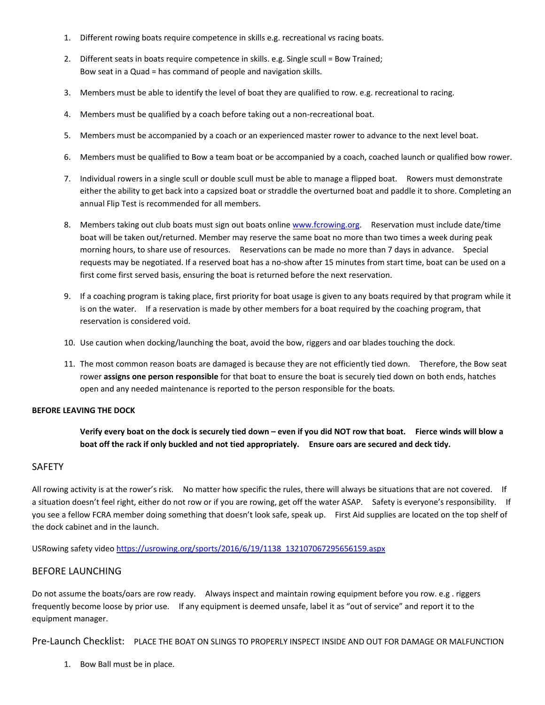- 1. Different rowing boats require competence in skills e.g. recreational vs racing boats.
- 2. Different seats in boats require competence in skills. e.g. Single scull = Bow Trained; Bow seat in a Quad = has command of people and navigation skills.
- 3. Members must be able to identify the level of boat they are qualified to row. e.g. recreational to racing.
- 4. Members must be qualified by a coach before taking out a non-recreational boat.
- 5. Members must be accompanied by a coach or an experienced master rower to advance to the next level boat.
- 6. Members must be qualified to Bow a team boat or be accompanied by a coach, coached launch or qualified bow rower.
- 7. Individual rowers in a single scull or double scull must be able to manage a flipped boat. Rowers must demonstrate either the ability to get back into a capsized boat or straddle the overturned boat and paddle it to shore. Completing an annual Flip Test is recommended for all members.
- 8. Members taking out club boats must sign out boats onlin[e www.fcrowing.org.](http://www.fcrowing.org/) Reservation must include date/time boat will be taken out/returned. Member may reserve the same boat no more than two times a week during peak morning hours, to share use of resources. Reservations can be made no more than 7 days in advance. Special requests may be negotiated. If a reserved boat has a no-show after 15 minutes from start time, boat can be used on a first come first served basis, ensuring the boat is returned before the next reservation.
- 9. If a coaching program is taking place, first priority for boat usage is given to any boats required by that program while it is on the water. If a reservation is made by other members for a boat required by the coaching program, that reservation is considered void.
- 10. Use caution when docking/launching the boat, avoid the bow, riggers and oar blades touching the dock.
- 11. The most common reason boats are damaged is because they are not efficiently tied down. Therefore, the Bow seat rower **assigns one person responsible** for that boat to ensure the boat is securely tied down on both ends, hatches open and any needed maintenance is reported to the person responsible for the boats.

### **BEFORE LEAVING THE DOCK**

**Verify every boat on the dock is securely tied down – even if you did NOT row that boat. Fierce winds will blow a boat off the rack if only buckled and not tied appropriately. Ensure oars are secured and deck tidy.** 

### SAFETY

All rowing activity is at the rower's risk. No matter how specific the rules, there will always be situations that are not covered. If a situation doesn't feel right, either do not row or if you are rowing, get off the water ASAP. Safety is everyone's responsibility. If you see a fellow FCRA member doing something that doesn't look safe, speak up. First Aid supplies are located on the top shelf of the dock cabinet and in the launch.

USRowing safety video [https://usrowing.org/sports/2016/6/19/1138\\_132107067295656159.aspx](https://usrowing.org/sports/2016/6/19/1138_132107067295656159.aspx)

### BEFORE LAUNCHING

Do not assume the boats/oars are row ready. Always inspect and maintain rowing equipment before you row. e.g . riggers frequently become loose by prior use. If any equipment is deemed unsafe, label it as "out of service" and report it to the equipment manager.

Pre-Launch Checklist: PLACE THE BOAT ON SLINGS TO PROPERLY INSPECT INSIDE AND OUT FOR DAMAGE OR MALFUNCTION

1. Bow Ball must be in place.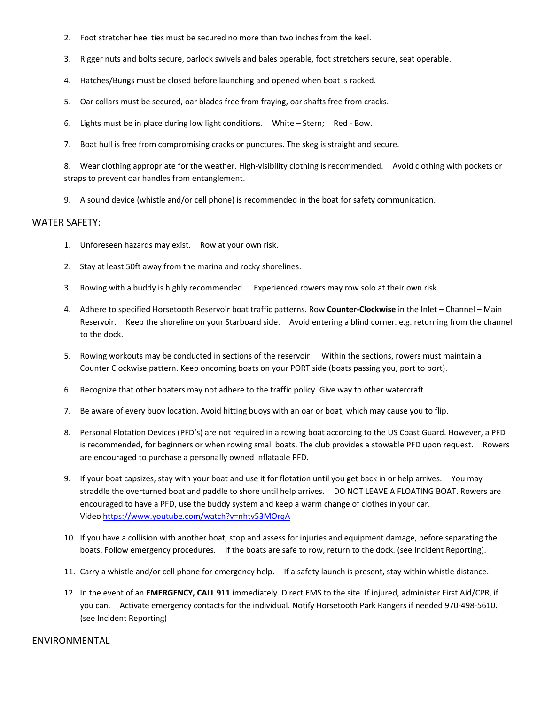- 2. Foot stretcher heel ties must be secured no more than two inches from the keel.
- 3. Rigger nuts and bolts secure, oarlock swivels and bales operable, foot stretchers secure, seat operable.
- 4. Hatches/Bungs must be closed before launching and opened when boat is racked.
- 5. Oar collars must be secured, oar blades free from fraying, oar shafts free from cracks.
- 6. Lights must be in place during low light conditions. White Stern; Red Bow.
- 7. Boat hull is free from compromising cracks or punctures. The skeg is straight and secure.

8. Wear clothing appropriate for the weather. High-visibility clothing is recommended. Avoid clothing with pockets or straps to prevent oar handles from entanglement.

9. A sound device (whistle and/or cell phone) is recommended in the boat for safety communication.

#### WATER SAFETY:

- 1. Unforeseen hazards may exist. Row at your own risk.
- 2. Stay at least 50ft away from the marina and rocky shorelines.
- 3. Rowing with a buddy is highly recommended. Experienced rowers may row solo at their own risk.
- 4. Adhere to specified Horsetooth Reservoir boat traffic patterns. Row **Counter-Clockwise** in the Inlet Channel Main Reservoir. Keep the shoreline on your Starboard side. Avoid entering a blind corner. e.g. returning from the channel to the dock.
- 5. Rowing workouts may be conducted in sections of the reservoir. Within the sections, rowers must maintain a Counter Clockwise pattern. Keep oncoming boats on your PORT side (boats passing you, port to port).
- 6. Recognize that other boaters may not adhere to the traffic policy. Give way to other watercraft.
- 7. Be aware of every buoy location. Avoid hitting buoys with an oar or boat, which may cause you to flip.
- 8. Personal Flotation Devices (PFD's) are not required in a rowing boat according to the US Coast Guard. However, a PFD is recommended, for beginners or when rowing small boats. The club provides a stowable PFD upon request. Rowers are encouraged to purchase a personally owned inflatable PFD.
- 9. If your boat capsizes, stay with your boat and use it for flotation until you get back in or help arrives. You may straddle the overturned boat and paddle to shore until help arrives. DO NOT LEAVE A FLOATING BOAT. Rowers are encouraged to have a PFD, use the buddy system and keep a warm change of clothes in your car. Vide[o https://www.youtube.com/watch?v=nhtv53MOrqA](https://www.youtube.com/watch?v=nhtv53MOrqA)
- 10. If you have a collision with another boat, stop and assess for injuries and equipment damage, before separating the boats. Follow emergency procedures. If the boats are safe to row, return to the dock. (see Incident Reporting).
- 11. Carry a whistle and/or cell phone for emergency help. If a safety launch is present, stay within whistle distance.
- 12. In the event of an **EMERGENCY, CALL 911** immediately. Direct EMS to the site. If injured, administer First Aid/CPR, if you can. Activate emergency contacts for the individual. Notify Horsetooth Park Rangers if needed 970-498-5610. (see Incident Reporting)

#### ENVIRONMENTAL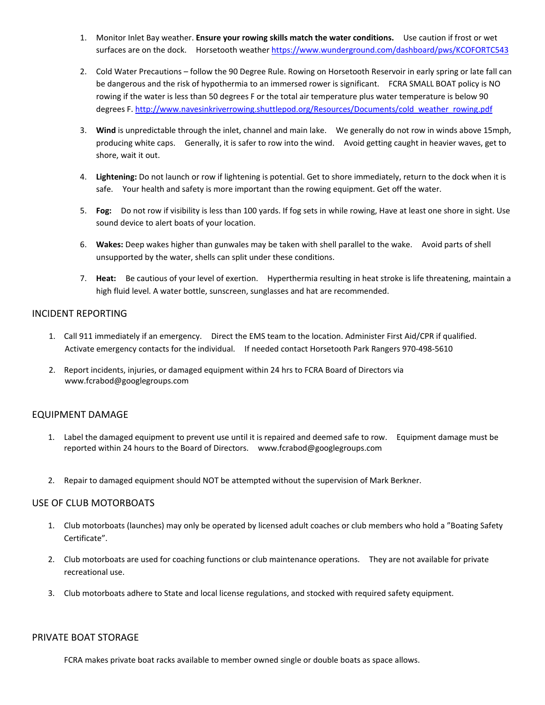- 1. Monitor Inlet Bay weather. **Ensure your rowing skills match the water conditions.** Use caution if frost or wet surfaces are on the dock. Horsetooth weather<https://www.wunderground.com/dashboard/pws/KCOFORTC543>
- 2. Cold Water Precautions follow the 90 Degree Rule. Rowing on Horsetooth Reservoir in early spring or late fall can be dangerous and the risk of hypothermia to an immersed rower is significant. FCRA SMALL BOAT policy is NO rowing if the water is less than 50 degrees F or the total air temperature plus water temperature is below 90 degrees F. [http://www.navesinkriverrowing.shuttlepod.org/Resources/Documents/cold\\_weather\\_rowing.pdf](http://www.navesinkriverrowing.shuttlepod.org/Resources/Documents/cold_weather_rowing.pdf)
- 3. **Wind** is unpredictable through the inlet, channel and main lake. We generally do not row in winds above 15mph, producing white caps. Generally, it is safer to row into the wind. Avoid getting caught in heavier waves, get to shore, wait it out.
- 4. **Lightening:** Do not launch or row if lightening is potential. Get to shore immediately, return to the dock when it is safe. Your health and safety is more important than the rowing equipment. Get off the water.
- 5. **Fog:** Do not row if visibility is less than 100 yards. If fog sets in while rowing, Have at least one shore in sight. Use sound device to alert boats of your location.
- 6. **Wakes:** Deep wakes higher than gunwales may be taken with shell parallel to the wake. Avoid parts of shell unsupported by the water, shells can split under these conditions.
- 7. **Heat:** Be cautious of your level of exertion. Hyperthermia resulting in heat stroke is life threatening, maintain a high fluid level. A water bottle, sunscreen, sunglasses and hat are recommended.

## INCIDENT REPORTING

- 1. Call 911 immediately if an emergency. Direct the EMS team to the location. Administer First Aid/CPR if qualified. Activate emergency contacts for the individual. If needed contact Horsetooth Park Rangers 970-498-5610
- 2. Report incidents, injuries, or damaged equipment within 24 hrs to FCRA Board of Directors via www.fcrabod@googlegroups.com

# EQUIPMENT DAMAGE

- 1. Label the damaged equipment to prevent use until it is repaired and deemed safe to row. Equipment damage must be reported within 24 hours to the Board of Directors. www.fcrabod@googlegroups.com
- 2. Repair to damaged equipment should NOT be attempted without the supervision of Mark Berkner.

### USE OF CLUB MOTORBOATS

- 1. Club motorboats (launches) may only be operated by licensed adult coaches or club members who hold a "Boating Safety Certificate".
- 2. Club motorboats are used for coaching functions or club maintenance operations. They are not available for private recreational use.
- 3. Club motorboats adhere to State and local license regulations, and stocked with required safety equipment.

### PRIVATE BOAT STORAGE

FCRA makes private boat racks available to member owned single or double boats as space allows.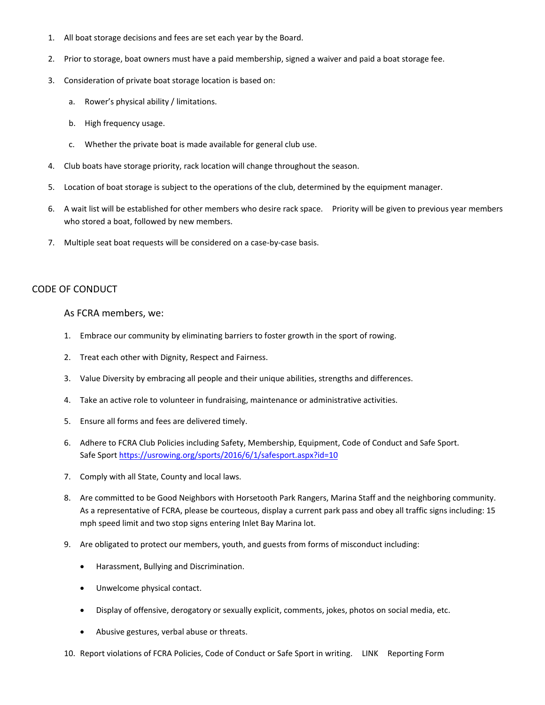- 1. All boat storage decisions and fees are set each year by the Board.
- 2. Prior to storage, boat owners must have a paid membership, signed a waiver and paid a boat storage fee.
- 3. Consideration of private boat storage location is based on:
	- a. Rower's physical ability / limitations.
	- b. High frequency usage.
	- c. Whether the private boat is made available for general club use.
- 4. Club boats have storage priority, rack location will change throughout the season.
- 5. Location of boat storage is subject to the operations of the club, determined by the equipment manager.
- 6. A wait list will be established for other members who desire rack space. Priority will be given to previous year members who stored a boat, followed by new members.
- 7. Multiple seat boat requests will be considered on a case-by-case basis.

# CODE OF CONDUCT

### As FCRA members, we:

- 1. Embrace our community by eliminating barriers to foster growth in the sport of rowing.
- 2. Treat each other with Dignity, Respect and Fairness.
- 3. Value Diversity by embracing all people and their unique abilities, strengths and differences.
- 4. Take an active role to volunteer in fundraising, maintenance or administrative activities.
- 5. Ensure all forms and fees are delivered timely.
- 6. Adhere to FCRA Club Policies including Safety, Membership, Equipment, Code of Conduct and Safe Sport. Safe Sport<https://usrowing.org/sports/2016/6/1/safesport.aspx?id=10>
- 7. Comply with all State, County and local laws.
- 8. Are committed to be Good Neighbors with Horsetooth Park Rangers, Marina Staff and the neighboring community. As a representative of FCRA, please be courteous, display a current park pass and obey all traffic signs including: 15 mph speed limit and two stop signs entering Inlet Bay Marina lot.
- 9. Are obligated to protect our members, youth, and guests from forms of misconduct including:
	- Harassment, Bullying and Discrimination.
	- Unwelcome physical contact.
	- Display of offensive, derogatory or sexually explicit, comments, jokes, photos on social media, etc.
	- Abusive gestures, verbal abuse or threats.
- 10. Report violations of FCRA Policies, Code of Conduct or Safe Sport in writing. LINK Reporting Form